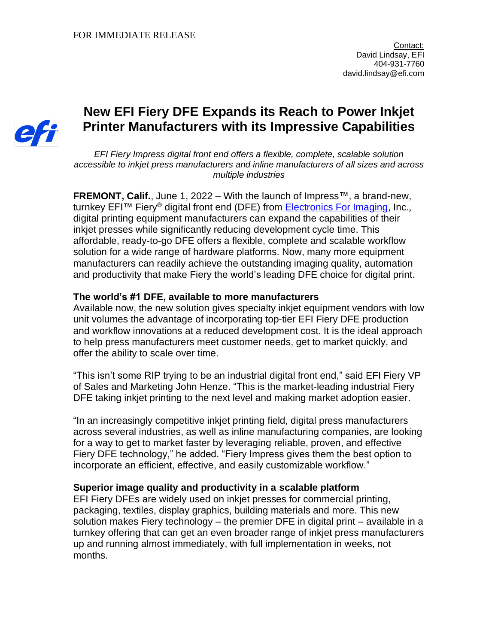

# **New EFI Fiery DFE Expands its Reach to Power Inkjet Printer Manufacturers with its Impressive Capabilities**

*EFI Fiery Impress digital front end offers a flexible, complete, scalable solution accessible to inkjet press manufacturers and inline manufacturers of all sizes and across multiple industries*

**FREMONT, Calif.**, June 1, 2022 – With the launch of Impress™, a brand-new, turnkey EFI<sup>™</sup> Fiery<sup>®</sup> digital front end (DFE) from [Electronics For Imaging,](http://www.efi.com/) Inc., digital printing equipment manufacturers can expand the capabilities of their inkjet presses while significantly reducing development cycle time. This affordable, ready-to-go DFE offers a flexible, complete and scalable workflow solution for a wide range of hardware platforms. Now, many more equipment manufacturers can readily achieve the outstanding imaging quality, automation and productivity that make Fiery the world's leading DFE choice for digital print.

## **The world's #1 DFE, available to more manufacturers**

Available now, the new solution gives specialty inkjet equipment vendors with low unit volumes the advantage of incorporating top-tier EFI Fiery DFE production and workflow innovations at a reduced development cost. It is the ideal approach to help press manufacturers meet customer needs, get to market quickly, and offer the ability to scale over time.

"This isn't some RIP trying to be an industrial digital front end," said EFI Fiery VP of Sales and Marketing John Henze. "This is the market-leading industrial Fiery DFE taking inkjet printing to the next level and making market adoption easier.

"In an increasingly competitive inkjet printing field, digital press manufacturers across several industries, as well as inline manufacturing companies, are looking for a way to get to market faster by leveraging reliable, proven, and effective Fiery DFE technology," he added. "Fiery Impress gives them the best option to incorporate an efficient, effective, and easily customizable workflow."

### **Superior image quality and productivity in a scalable platform**

EFI Fiery DFEs are widely used on inkjet presses for commercial printing, packaging, textiles, display graphics, building materials and more. This new solution makes Fiery technology – the premier DFE in digital print – available in a turnkey offering that can get an even broader range of inkjet press manufacturers up and running almost immediately, with full implementation in weeks, not months.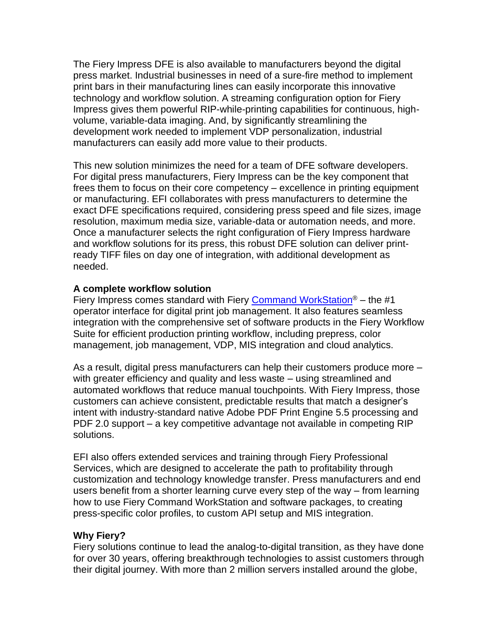The Fiery Impress DFE is also available to manufacturers beyond the digital press market. Industrial businesses in need of a sure-fire method to implement print bars in their manufacturing lines can easily incorporate this innovative technology and workflow solution. A streaming configuration option for Fiery Impress gives them powerful RIP-while-printing capabilities for continuous, highvolume, variable-data imaging. And, by significantly streamlining the development work needed to implement VDP personalization, industrial manufacturers can easily add more value to their products.

This new solution minimizes the need for a team of DFE software developers. For digital press manufacturers, Fiery Impress can be the key component that frees them to focus on their core competency – excellence in printing equipment or manufacturing. EFI collaborates with press manufacturers to determine the exact DFE specifications required, considering press speed and file sizes, image resolution, maximum media size, variable-data or automation needs, and more. Once a manufacturer selects the right configuration of Fiery Impress hardware and workflow solutions for its press, this robust DFE solution can deliver printready TIFF files on day one of integration, with additional development as needed.

## **A complete workflow solution**

Fiery Impress comes standard with Fiery [Command WorkStation](http://www.efi.com/cws?utm_source=press_release&utm_medium=email&utm_campaign=fiery_impress)<sup>®</sup> – the #1 operator interface for digital print job management. It also features seamless integration with the comprehensive set of software products in the Fiery Workflow Suite for efficient production printing workflow, including prepress, color management, job management, VDP, MIS integration and cloud analytics.

As a result, digital press manufacturers can help their customers produce more – with greater efficiency and quality and less waste – using streamlined and automated workflows that reduce manual touchpoints. With Fiery Impress, those customers can achieve consistent, predictable results that match a designer's intent with industry-standard native Adobe PDF Print Engine 5.5 processing and PDF 2.0 support – a key competitive advantage not available in competing RIP solutions.

EFI also offers extended services and training through Fiery Professional Services, which are designed to accelerate the path to profitability through customization and technology knowledge transfer. Press manufacturers and end users benefit from a shorter learning curve every step of the way – from learning how to use Fiery Command WorkStation and software packages, to creating press-specific color profiles, to custom API setup and MIS integration.

### **Why Fiery?**

Fiery solutions continue to lead the analog-to-digital transition, as they have done for over 30 years, offering breakthrough technologies to assist customers through their digital journey. With more than 2 million servers installed around the globe,